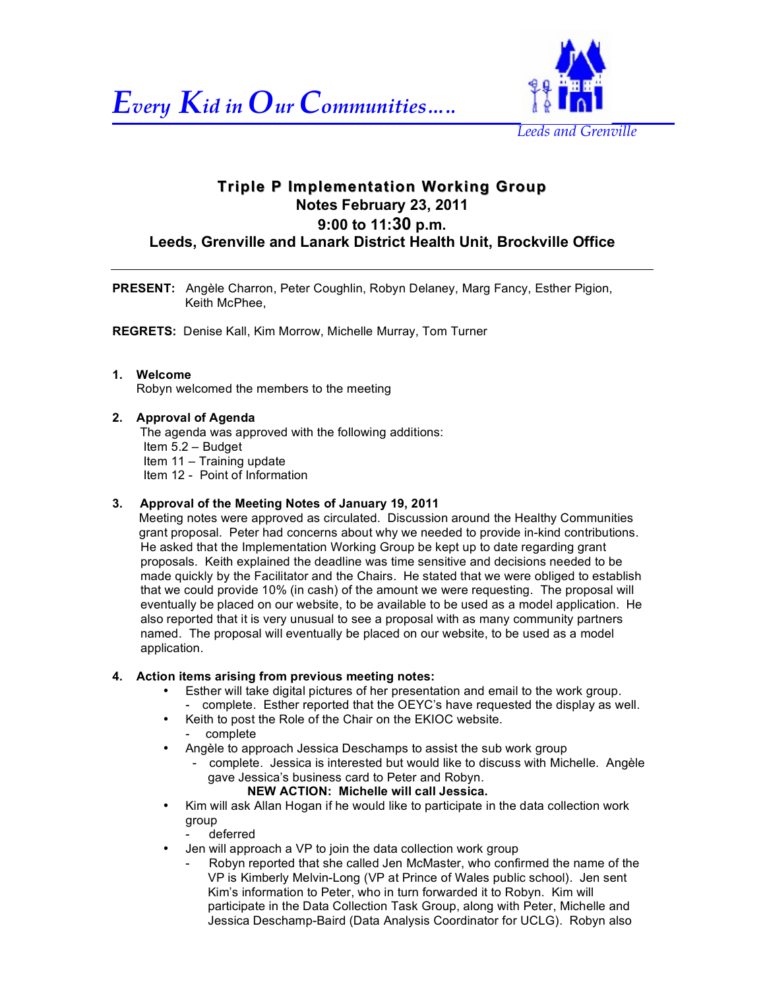



# **Triple P Implementation Working Group Notes February 23, 2011 9:00 to 11:30 p.m. Leeds, Grenville and Lanark District Health Unit, Brockville Office**

**PRESENT:** Angèle Charron, Peter Coughlin, Robyn Delaney, Marg Fancy, Esther Pigion, Keith McPhee,

**REGRETS:** Denise Kall, Kim Morrow, Michelle Murray, Tom Turner

#### **1. Welcome**

Robyn welcomed the members to the meeting

#### **2. Approval of Agenda**

The agenda was approved with the following additions: Item 5.2 – Budget Item 11 – Training update Item 12 - Point of Information

#### **3. Approval of the Meeting Notes of January 19, 2011**

Meeting notes were approved as circulated. Discussion around the Healthy Communities grant proposal. Peter had concerns about why we needed to provide in-kind contributions. He asked that the Implementation Working Group be kept up to date regarding grant proposals. Keith explained the deadline was time sensitive and decisions needed to be made quickly by the Facilitator and the Chairs. He stated that we were obliged to establish that we could provide 10% (in cash) of the amount we were requesting. The proposal will eventually be placed on our website, to be available to be used as a model application. He also reported that it is very unusual to see a proposal with as many community partners named. The proposal will eventually be placed on our website, to be used as a model application.

#### **4. Action items arising from previous meeting notes:**

- Esther will take digital pictures of her presentation and email to the work group. - complete. Esther reported that the OEYC's have requested the display as well.
- Keith to post the Role of the Chair on the EKIOC website. - complete
- Angèle to approach Jessica Deschamps to assist the sub work group
	- complete. Jessica is interested but would like to discuss with Michelle. Angèle gave Jessica's business card to Peter and Robyn.
		- **NEW ACTION: Michelle will call Jessica.**
- Kim will ask Allan Hogan if he would like to participate in the data collection work group
	- deferred
- Jen will approach a VP to join the data collection work group
	- Robyn reported that she called Jen McMaster, who confirmed the name of the VP is Kimberly Melvin-Long (VP at Prince of Wales public school). Jen sent Kim's information to Peter, who in turn forwarded it to Robyn. Kim will participate in the Data Collection Task Group, along with Peter, Michelle and Jessica Deschamp-Baird (Data Analysis Coordinator for UCLG). Robyn also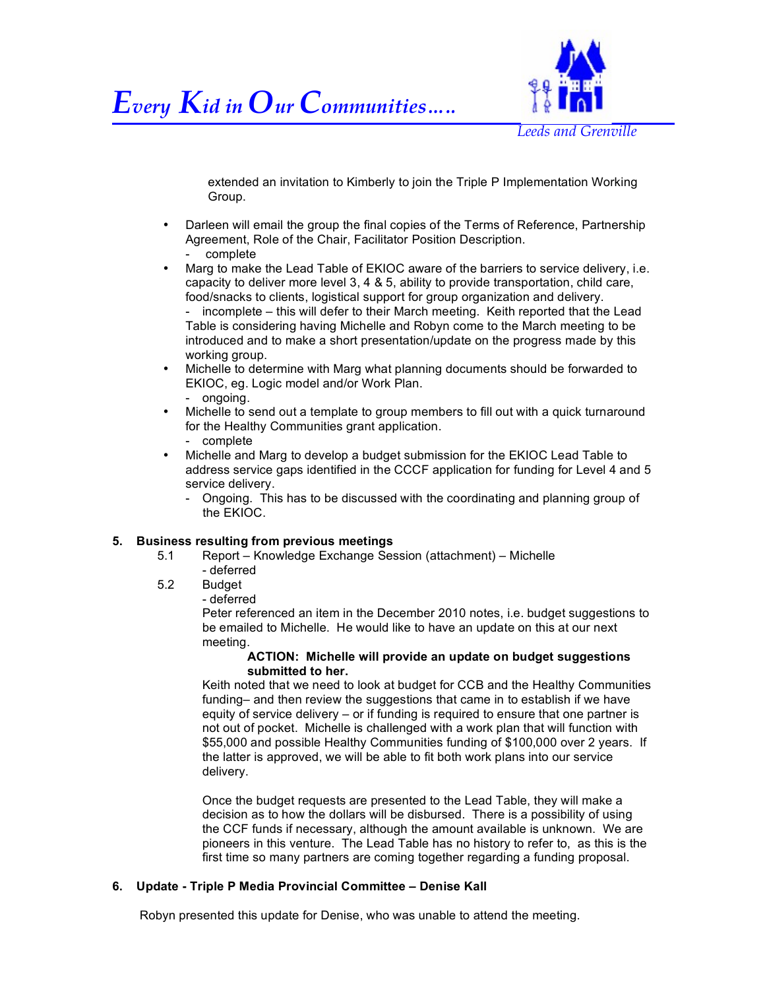



extended an invitation to Kimberly to join the Triple P Implementation Working Group.

- Darleen will email the group the final copies of the Terms of Reference, Partnership Agreement, Role of the Chair, Facilitator Position Description. - complete
- Marg to make the Lead Table of EKIOC aware of the barriers to service delivery, i.e. capacity to deliver more level 3, 4 & 5, ability to provide transportation, child care, food/snacks to clients, logistical support for group organization and delivery. - incomplete – this will defer to their March meeting. Keith reported that the Lead

Table is considering having Michelle and Robyn come to the March meeting to be introduced and to make a short presentation/update on the progress made by this working group.

- Michelle to determine with Marg what planning documents should be forwarded to EKIOC, eg. Logic model and/or Work Plan. - ongoing.
- Michelle to send out a template to group members to fill out with a quick turnaround for the Healthy Communities grant application. - complete
- Michelle and Marg to develop a budget submission for the EKIOC Lead Table to address service gaps identified in the CCCF application for funding for Level 4 and 5 service delivery.
	- Ongoing. This has to be discussed with the coordinating and planning group of the EKIOC.

# **5. Business resulting from previous meetings**

- 5.1 Report Knowledge Exchange Session (attachment) Michelle
- deferred 5.2 Budget
	- deferred

Peter referenced an item in the December 2010 notes, i.e. budget suggestions to be emailed to Michelle. He would like to have an update on this at our next meeting.

#### **ACTION: Michelle will provide an update on budget suggestions submitted to her.**

Keith noted that we need to look at budget for CCB and the Healthy Communities funding– and then review the suggestions that came in to establish if we have equity of service delivery – or if funding is required to ensure that one partner is not out of pocket. Michelle is challenged with a work plan that will function with \$55,000 and possible Healthy Communities funding of \$100,000 over 2 years. If the latter is approved, we will be able to fit both work plans into our service delivery.

Once the budget requests are presented to the Lead Table, they will make a decision as to how the dollars will be disbursed. There is a possibility of using the CCF funds if necessary, although the amount available is unknown. We are pioneers in this venture. The Lead Table has no history to refer to, as this is the first time so many partners are coming together regarding a funding proposal.

# **6. Update - Triple P Media Provincial Committee – Denise Kall**

Robyn presented this update for Denise, who was unable to attend the meeting.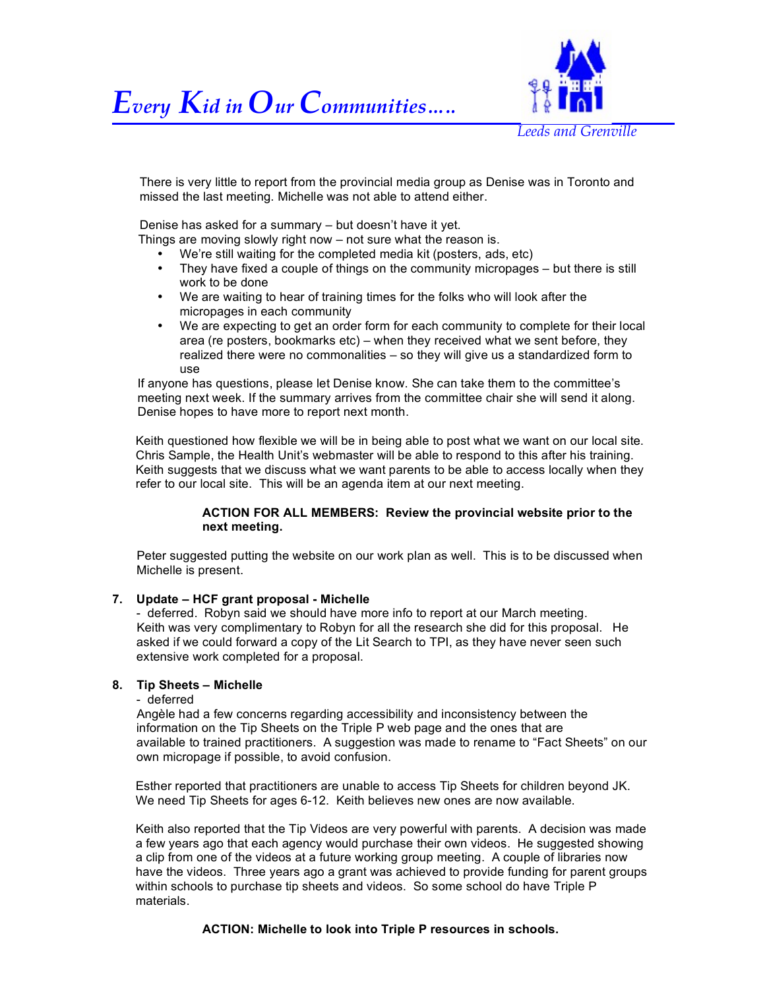



There is very little to report from the provincial media group as Denise was in Toronto and missed the last meeting. Michelle was not able to attend either.

Denise has asked for a summary – but doesn't have it yet.

Things are moving slowly right now – not sure what the reason is.

- We're still waiting for the completed media kit (posters, ads, etc)
- They have fixed a couple of things on the community micropages but there is still work to be done
- We are waiting to hear of training times for the folks who will look after the micropages in each community
- We are expecting to get an order form for each community to complete for their local area (re posters, bookmarks etc) – when they received what we sent before, they realized there were no commonalities – so they will give us a standardized form to use

If anyone has questions, please let Denise know. She can take them to the committee's meeting next week. If the summary arrives from the committee chair she will send it along. Denise hopes to have more to report next month.

Keith questioned how flexible we will be in being able to post what we want on our local site. Chris Sample, the Health Unit's webmaster will be able to respond to this after his training. Keith suggests that we discuss what we want parents to be able to access locally when they refer to our local site. This will be an agenda item at our next meeting.

#### **ACTION FOR ALL MEMBERS: Review the provincial website prior to the next meeting.**

Peter suggested putting the website on our work plan as well. This is to be discussed when Michelle is present.

#### **7. Update – HCF grant proposal - Michelle**

 - deferred. Robyn said we should have more info to report at our March meeting. Keith was very complimentary to Robyn for all the research she did for this proposal. He asked if we could forward a copy of the Lit Search to TPI, as they have never seen such extensive work completed for a proposal.

#### **8. Tip Sheets – Michelle**

- deferred

 Angèle had a few concerns regarding accessibility and inconsistency between the information on the Tip Sheets on the Triple P web page and the ones that are available to trained practitioners. A suggestion was made to rename to "Fact Sheets" on our own micropage if possible, to avoid confusion.

Esther reported that practitioners are unable to access Tip Sheets for children beyond JK. We need Tip Sheets for ages 6-12. Keith believes new ones are now available.

Keith also reported that the Tip Videos are very powerful with parents. A decision was made a few years ago that each agency would purchase their own videos. He suggested showing a clip from one of the videos at a future working group meeting. A couple of libraries now have the videos. Three years ago a grant was achieved to provide funding for parent groups within schools to purchase tip sheets and videos. So some school do have Triple P materials.

**ACTION: Michelle to look into Triple P resources in schools.**